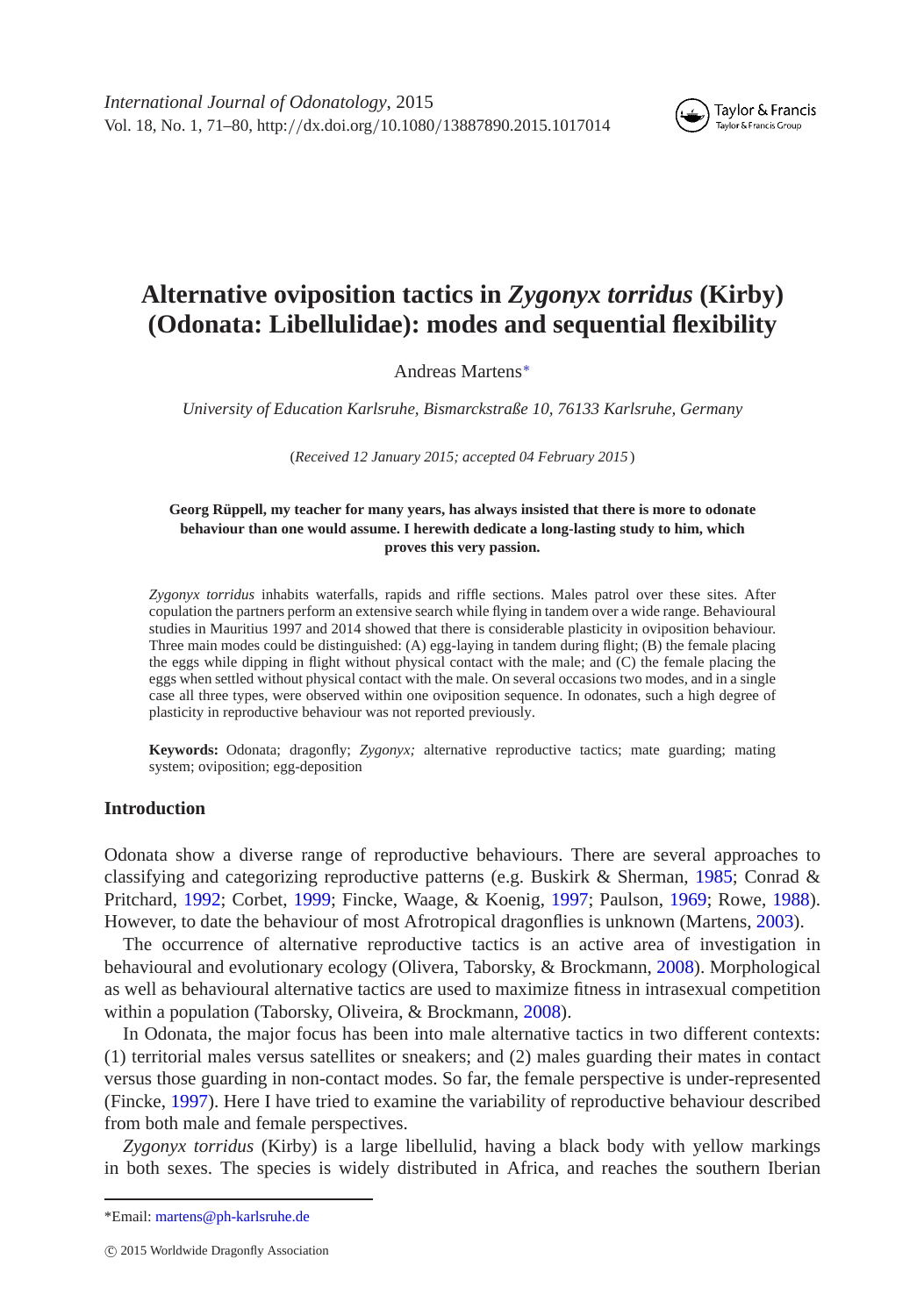*International Journal of Odonatology*, 2015 Vol. 18, No. 1, 71–80, http:*//*dx.doi.org*/*10.1080*/*13887890.2015.1017014



# **Alternative oviposition tactics in** *Zygonyx torridus* **(Kirby) (Odonata: Libellulidae): modes and sequential flexibility**

Andreas Martens[∗](#page-0-0)

*University of Education Karlsruhe, Bismarckstraße 10, 76133 Karlsruhe, Germany*

(*Received 12 January 2015; accepted 04 February 2015* )

#### **Georg Rüppell, my teacher for many years, has always insisted that there is more to odonate behaviour than one would assume. I herewith dedicate a long-lasting study to him, which proves this very passion.**

*Zygonyx torridus* inhabits waterfalls, rapids and riffle sections. Males patrol over these sites. After copulation the partners perform an extensive search while flying in tandem over a wide range. Behavioural studies in Mauritius 1997 and 2014 showed that there is considerable plasticity in oviposition behaviour. Three main modes could be distinguished: (A) egg-laying in tandem during flight; (B) the female placing the eggs while dipping in flight without physical contact with the male; and (C) the female placing the eggs when settled without physical contact with the male. On several occasions two modes, and in a single case all three types, were observed within one oviposition sequence. In odonates, such a high degree of plasticity in reproductive behaviour was not reported previously.

**Keywords:** Odonata; dragonfly; *Zygonyx;* alternative reproductive tactics; mate guarding; mating system; oviposition; egg-deposition

### **Introduction**

Odonata show a diverse range of reproductive behaviours. There are several approaches to classifying and categorizing reproductive patterns (e.g. Buskirk & Sherman, [1985;](#page-8-0) Conrad & Pritchard, [1992;](#page-8-1) Corbet, [1999;](#page-8-2) Fincke, Waage, & Koenig, [1997;](#page-8-3) Paulson, [1969;](#page-9-0) Rowe, [1988\)](#page-9-1). However, to date the behaviour of most Afrotropical dragonflies is unknown (Martens, [2003\)](#page-9-2).

The occurrence of alternative reproductive tactics is an active area of investigation in behavioural and evolutionary ecology (Olivera, Taborsky, & Brockmann, [2008\)](#page-9-3). Morphological as well as behavioural alternative tactics are used to maximize fitness in intrasexual competition within a population (Taborsky, Oliveira, & Brockmann, [2008\)](#page-9-4).

In Odonata, the major focus has been into male alternative tactics in two different contexts: (1) territorial males versus satellites or sneakers; and (2) males guarding their mates in contact versus those guarding in non-contact modes. So far, the female perspective is under-represented (Fincke, [1997\)](#page-8-4). Here I have tried to examine the variability of reproductive behaviour described from both male and female perspectives.

*Zygonyx torridus* (Kirby) is a large libellulid, having a black body with yellow markings in both sexes. The species is widely distributed in Africa, and reaches the southern Iberian

<span id="page-0-0"></span><sup>\*</sup>Email: [martens@ph-karlsruhe.de](mailto:martens@ph-karlsruhe.de)

c 2015 Worldwide Dragonfly Association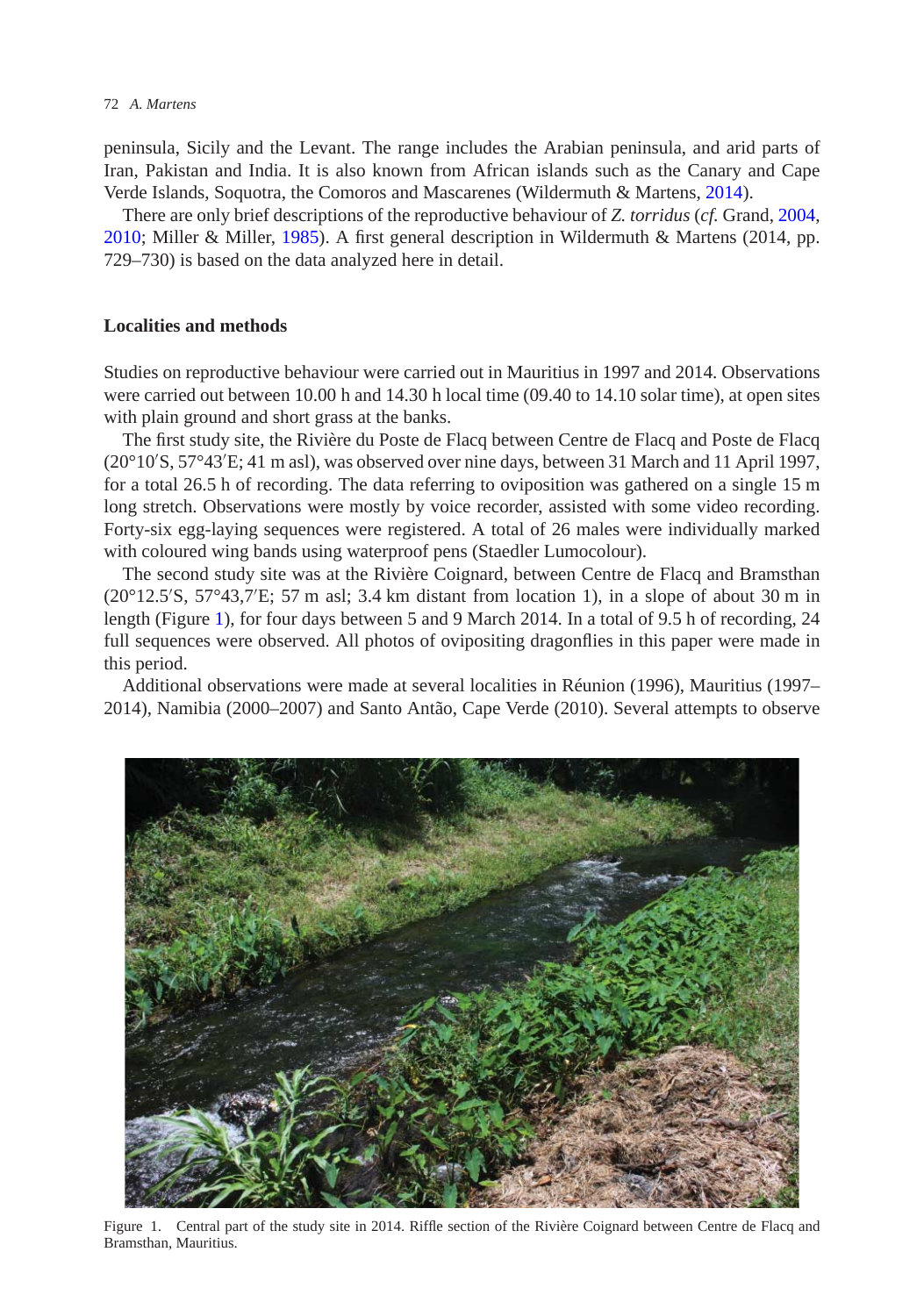peninsula, Sicily and the Levant. The range includes the Arabian peninsula, and arid parts of Iran, Pakistan and India. It is also known from African islands such as the Canary and Cape Verde Islands, Soquotra, the Comoros and Mascarenes (Wildermuth & Martens, [2014\)](#page-9-5).

There are only brief descriptions of the reproductive behaviour of *Z. torridus* (*cf.* Grand, [2004,](#page-8-5) [2010;](#page-8-6) Miller & Miller, [1985\)](#page-9-6). A first general description in Wildermuth & Martens (2014, pp. 729–730) is based on the data analyzed here in detail.

## **Localities and methods**

Studies on reproductive behaviour were carried out in Mauritius in 1997 and 2014. Observations were carried out between 10.00 h and 14.30 h local time (09.40 to 14.10 solar time), at open sites with plain ground and short grass at the banks.

The first study site, the Rivière du Poste de Flacq between Centre de Flacq and Poste de Flacq (20°10 S, 57°43 E; 41 m asl), was observed over nine days, between 31 March and 11 April 1997, for a total 26.5 h of recording. The data referring to oviposition was gathered on a single 15 m long stretch. Observations were mostly by voice recorder, assisted with some video recording. Forty-six egg-laying sequences were registered. A total of 26 males were individually marked with coloured wing bands using waterproof pens (Staedler Lumocolour).

The second study site was at the Rivière Coignard, between Centre de Flacq and Bramsthan  $(20^{\circ}12.5^{\prime}S, 57^{\circ}43.7^{\prime}E; 57 \text{ m as}1; 3.4 \text{ km distant from location } 1)$ , in a slope of about 30 m in length (Figure [1\)](#page-1-0), for four days between 5 and 9 March 2014. In a total of 9.5 h of recording, 24 full sequences were observed. All photos of ovipositing dragonflies in this paper were made in this period.

Additional observations were made at several localities in Réunion (1996), Mauritius (1997– 2014), Namibia (2000–2007) and Santo Antão, Cape Verde (2010). Several attempts to observe

<span id="page-1-0"></span>

Figure 1. Central part of the study site in 2014. Riffle section of the Rivière Coignard between Centre de Flacq and Bramsthan, Mauritius.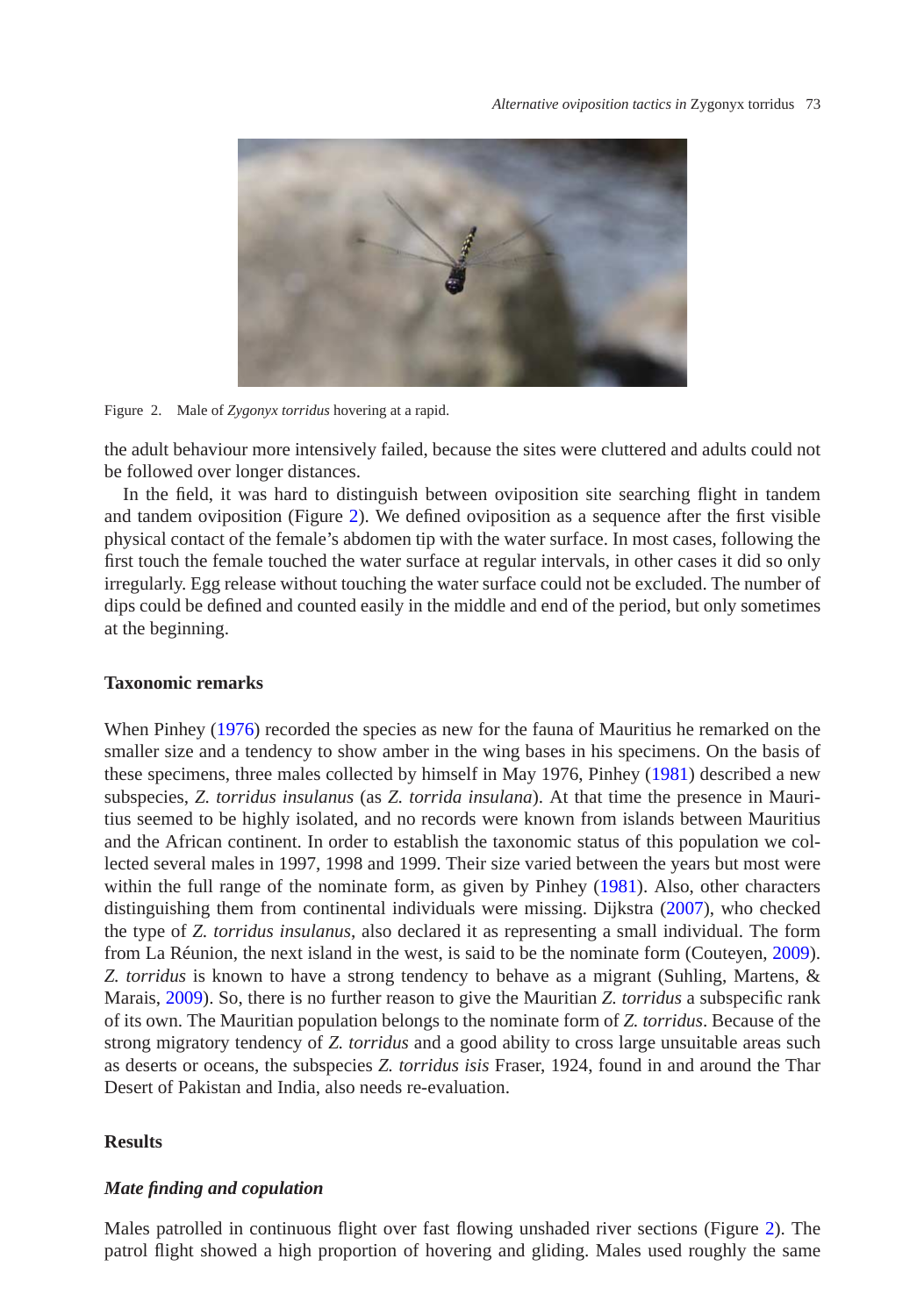

Figure 2. Male of *Zygonyx torridus* hovering at a rapid.

<span id="page-2-0"></span>the adult behaviour more intensively failed, because the sites were cluttered and adults could not be followed over longer distances.

In the field, it was hard to distinguish between oviposition site searching flight in tandem and tandem oviposition (Figure [2\)](#page-2-0). We defined oviposition as a sequence after the first visible physical contact of the female's abdomen tip with the water surface. In most cases, following the first touch the female touched the water surface at regular intervals, in other cases it did so only irregularly. Egg release without touching the water surface could not be excluded. The number of dips could be defined and counted easily in the middle and end of the period, but only sometimes at the beginning.

### **Taxonomic remarks**

When Pinhey [\(1976\)](#page-9-7) recorded the species as new for the fauna of Mauritius he remarked on the smaller size and a tendency to show amber in the wing bases in his specimens. On the basis of these specimens, three males collected by himself in May 1976, Pinhey [\(1981\)](#page-9-8) described a new subspecies, *Z. torridus insulanus* (as *Z. torrida insulana*). At that time the presence in Mauritius seemed to be highly isolated, and no records were known from islands between Mauritius and the African continent. In order to establish the taxonomic status of this population we collected several males in 1997, 1998 and 1999. Their size varied between the years but most were within the full range of the nominate form, as given by Pinhey [\(1981\)](#page-9-8). Also, other characters distinguishing them from continental individuals were missing. Dijkstra [\(2007\)](#page-8-7), who checked the type of *Z. torridus insulanus*, also declared it as representing a small individual. The form from La Réunion, the next island in the west, is said to be the nominate form (Couteyen, [2009\)](#page-8-8). *Z. torridus* is known to have a strong tendency to behave as a migrant (Suhling, Martens, & Marais, [2009\)](#page-9-9). So, there is no further reason to give the Mauritian *Z. torridus* a subspecific rank of its own. The Mauritian population belongs to the nominate form of *Z. torridus*. Because of the strong migratory tendency of *Z. torridus* and a good ability to cross large unsuitable areas such as deserts or oceans, the subspecies *Z. torridus isis* Fraser, 1924, found in and around the Thar Desert of Pakistan and India, also needs re-evaluation.

## **Results**

### *Mate finding and copulation*

Males patrolled in continuous flight over fast flowing unshaded river sections (Figure [2\)](#page-2-0). The patrol flight showed a high proportion of hovering and gliding. Males used roughly the same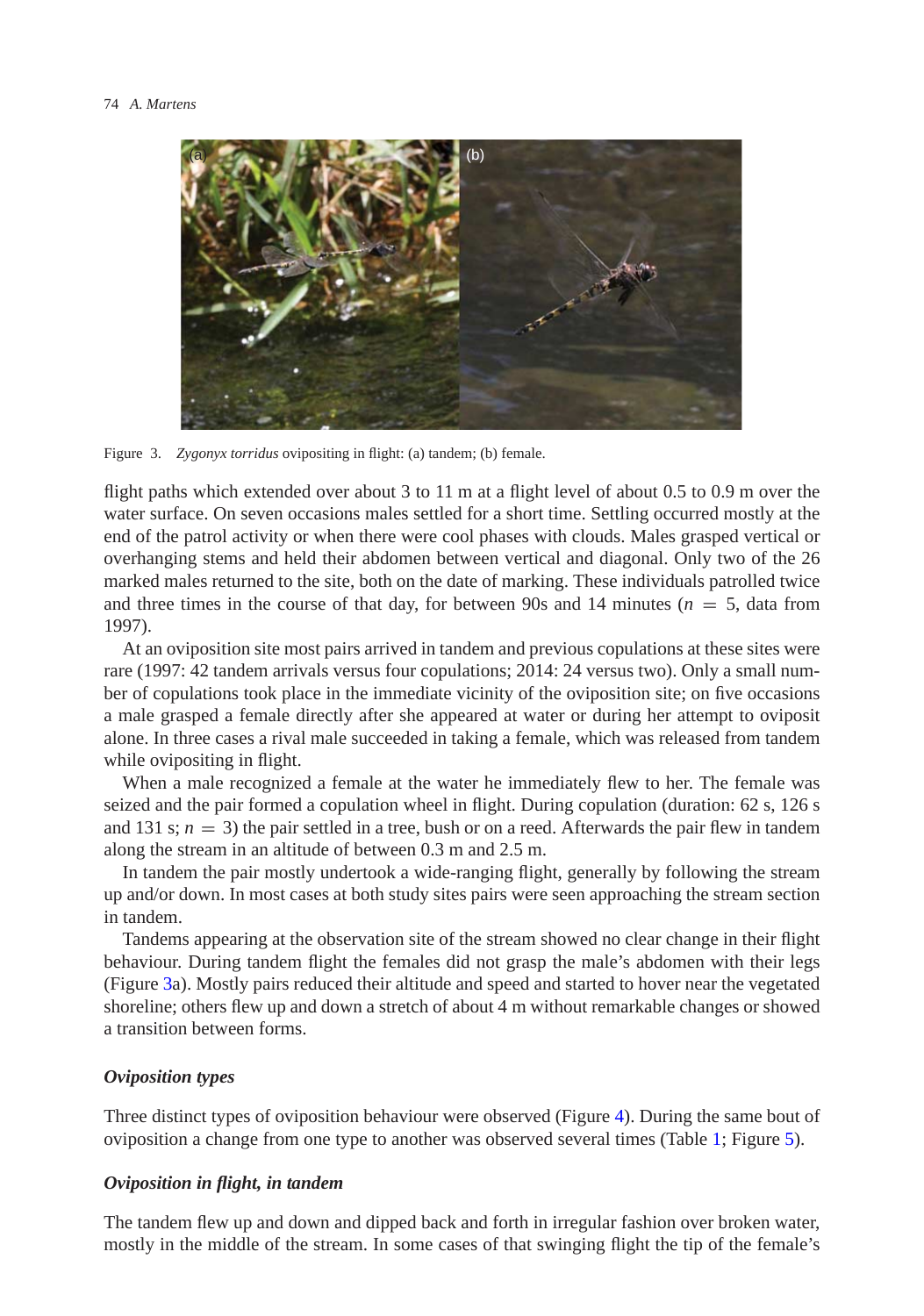

Figure 3. *Zygonyx torridus* ovipositing in flight: (a) tandem; (b) female.

<span id="page-3-0"></span>flight paths which extended over about 3 to 11 m at a flight level of about 0.5 to 0.9 m over the water surface. On seven occasions males settled for a short time. Settling occurred mostly at the end of the patrol activity or when there were cool phases with clouds. Males grasped vertical or overhanging stems and held their abdomen between vertical and diagonal. Only two of the 26 marked males returned to the site, both on the date of marking. These individuals patrolled twice and three times in the course of that day, for between 90s and 14 minutes ( $n = 5$ , data from 1997).

At an oviposition site most pairs arrived in tandem and previous copulations at these sites were rare (1997: 42 tandem arrivals versus four copulations; 2014: 24 versus two). Only a small number of copulations took place in the immediate vicinity of the oviposition site; on five occasions a male grasped a female directly after she appeared at water or during her attempt to oviposit alone. In three cases a rival male succeeded in taking a female, which was released from tandem while ovipositing in flight.

When a male recognized a female at the water he immediately flew to her. The female was seized and the pair formed a copulation wheel in flight. During copulation (duration: 62 s, 126 s and 131 s;  $n = 3$ ) the pair settled in a tree, bush or on a reed. Afterwards the pair flew in tandem along the stream in an altitude of between 0.3 m and 2.5 m.

In tandem the pair mostly undertook a wide-ranging flight, generally by following the stream up and/or down. In most cases at both study sites pairs were seen approaching the stream section in tandem.

Tandems appearing at the observation site of the stream showed no clear change in their flight behaviour. During tandem flight the females did not grasp the male's abdomen with their legs (Figure [3a](#page-3-0)). Mostly pairs reduced their altitude and speed and started to hover near the vegetated shoreline; others flew up and down a stretch of about 4 m without remarkable changes or showed a transition between forms.

### *Oviposition types*

Three distinct types of oviposition behaviour were observed (Figure [4\)](#page-4-0). During the same bout of oviposition a change from one type to another was observed several times (Table [1;](#page-4-1) Figure [5\)](#page-5-0).

# *Oviposition in flight, in tandem*

The tandem flew up and down and dipped back and forth in irregular fashion over broken water, mostly in the middle of the stream. In some cases of that swinging flight the tip of the female's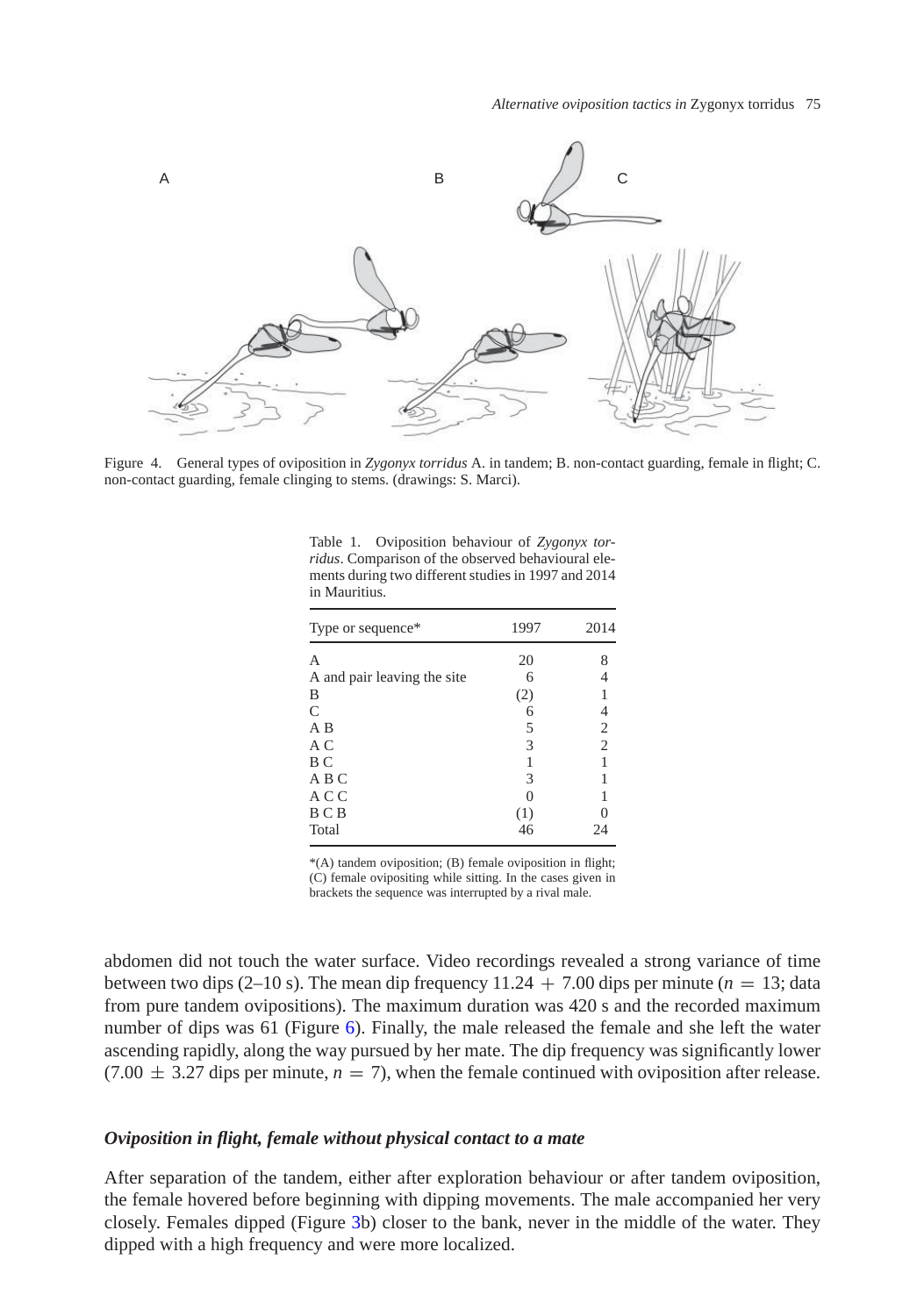

<span id="page-4-0"></span>Figure 4. General types of oviposition in *Zygonyx torridus* A. in tandem; B. non-contact guarding, female in flight; C. non-contact guarding, female clinging to stems. (drawings: S. Marci).

| Type or sequence*           | 1997 | 2014           |
|-----------------------------|------|----------------|
|                             |      |                |
| А                           | 20   |                |
| A and pair leaving the site | 6    |                |
| B                           | (2)  |                |
| $\mathcal{C}$               | 6    | 4              |
| A B                         | 5    | $\mathfrak{2}$ |
| A C                         | 3    | $\overline{2}$ |
| B C                         |      |                |
| A B C                       | 3    |                |
| A C C                       |      |                |
| B C B                       | (1)  |                |
| Total                       | 46   | 24             |

<span id="page-4-1"></span>Table 1. Oviposition behaviour of *Zygonyx torridus*. Comparison of the observed behavioural elements during two different studies in 1997 and 2014 in Mauritius.

\*(A) tandem oviposition; (B) female oviposition in flight; (C) female ovipositing while sitting. In the cases given in brackets the sequence was interrupted by a rival male.

abdomen did not touch the water surface. Video recordings revealed a strong variance of time between two dips (2–10 s). The mean dip frequency  $11.24 + 7.00$  dips per minute ( $n = 13$ ; data from pure tandem ovipositions). The maximum duration was 420 s and the recorded maximum number of dips was 61 (Figure [6\)](#page-5-1). Finally, the male released the female and she left the water ascending rapidly, along the way pursued by her mate. The dip frequency was significantly lower  $(7.00 \pm 3.27)$  dips per minute,  $n = 7$ ), when the female continued with oviposition after release.

#### *Oviposition in flight, female without physical contact to a mate*

After separation of the tandem, either after exploration behaviour or after tandem oviposition, the female hovered before beginning with dipping movements. The male accompanied her very closely. Females dipped (Figure [3b](#page-3-0)) closer to the bank, never in the middle of the water. They dipped with a high frequency and were more localized.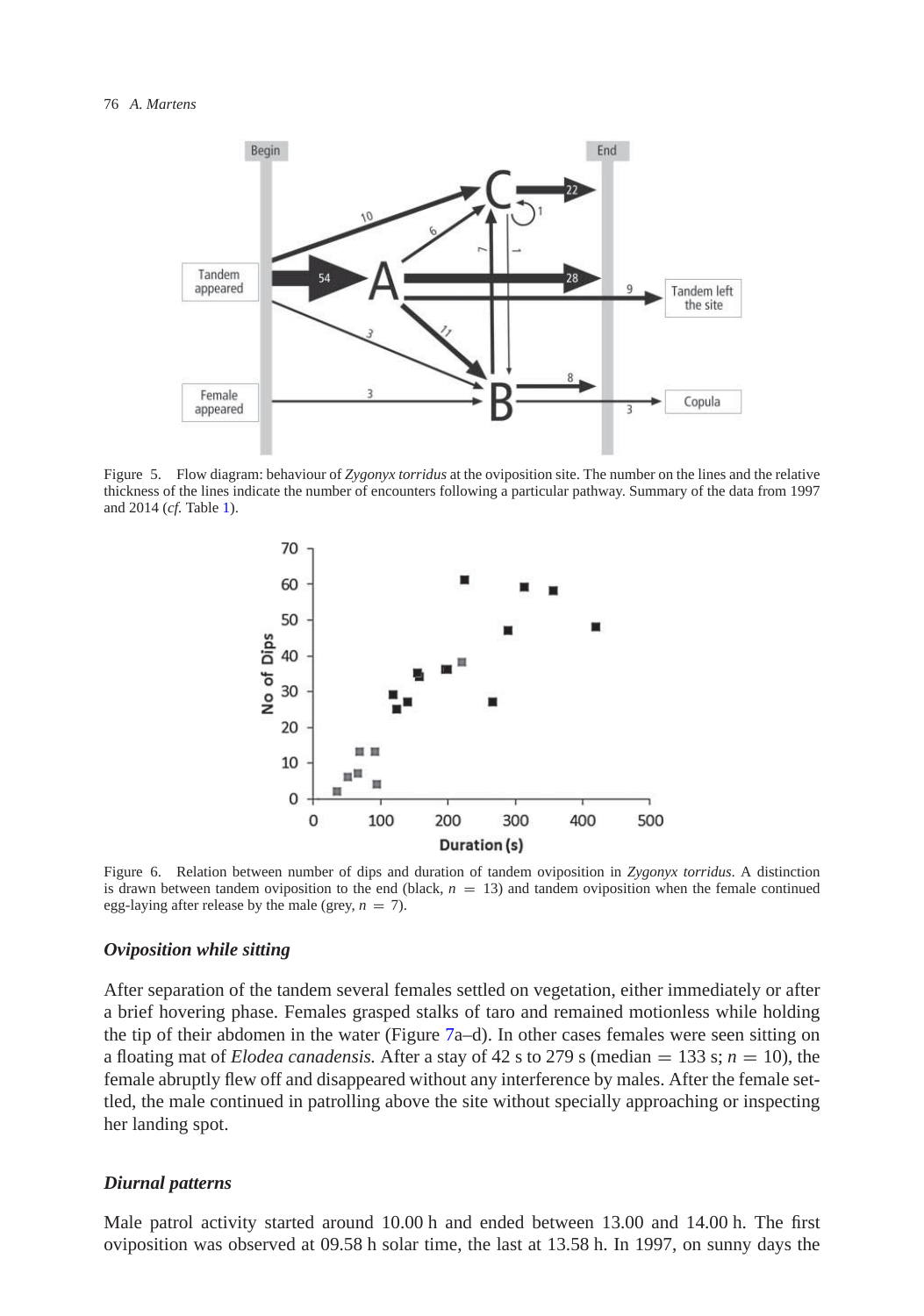

<span id="page-5-0"></span>Figure 5. Flow diagram: behaviour of *Zygonyx torridus* at the oviposition site. The number on the lines and the relative thickness of the lines indicate the number of encounters following a particular pathway. Summary of the data from 1997 and 2014 (*cf.* Table [1\)](#page-4-1).



<span id="page-5-1"></span>Figure 6. Relation between number of dips and duration of tandem oviposition in *Zygonyx torridus*. A distinction is drawn between tandem oviposition to the end (black, *n* = 13) and tandem oviposition when the female continued egg-laying after release by the male (grey,  $n = 7$ ).

#### *Oviposition while sitting*

After separation of the tandem several females settled on vegetation, either immediately or after a brief hovering phase. Females grasped stalks of taro and remained motionless while holding the tip of their abdomen in the water (Figure [7a](#page-6-0)–d). In other cases females were seen sitting on a floating mat of *Elodea canadensis*. After a stay of 42 s to 279 s (median = 133 s;  $n = 10$ ), the female abruptly flew off and disappeared without any interference by males. After the female settled, the male continued in patrolling above the site without specially approaching or inspecting her landing spot.

### *Diurnal patterns*

Male patrol activity started around 10.00 h and ended between 13.00 and 14.00 h. The first oviposition was observed at 09.58 h solar time, the last at 13.58 h. In 1997, on sunny days the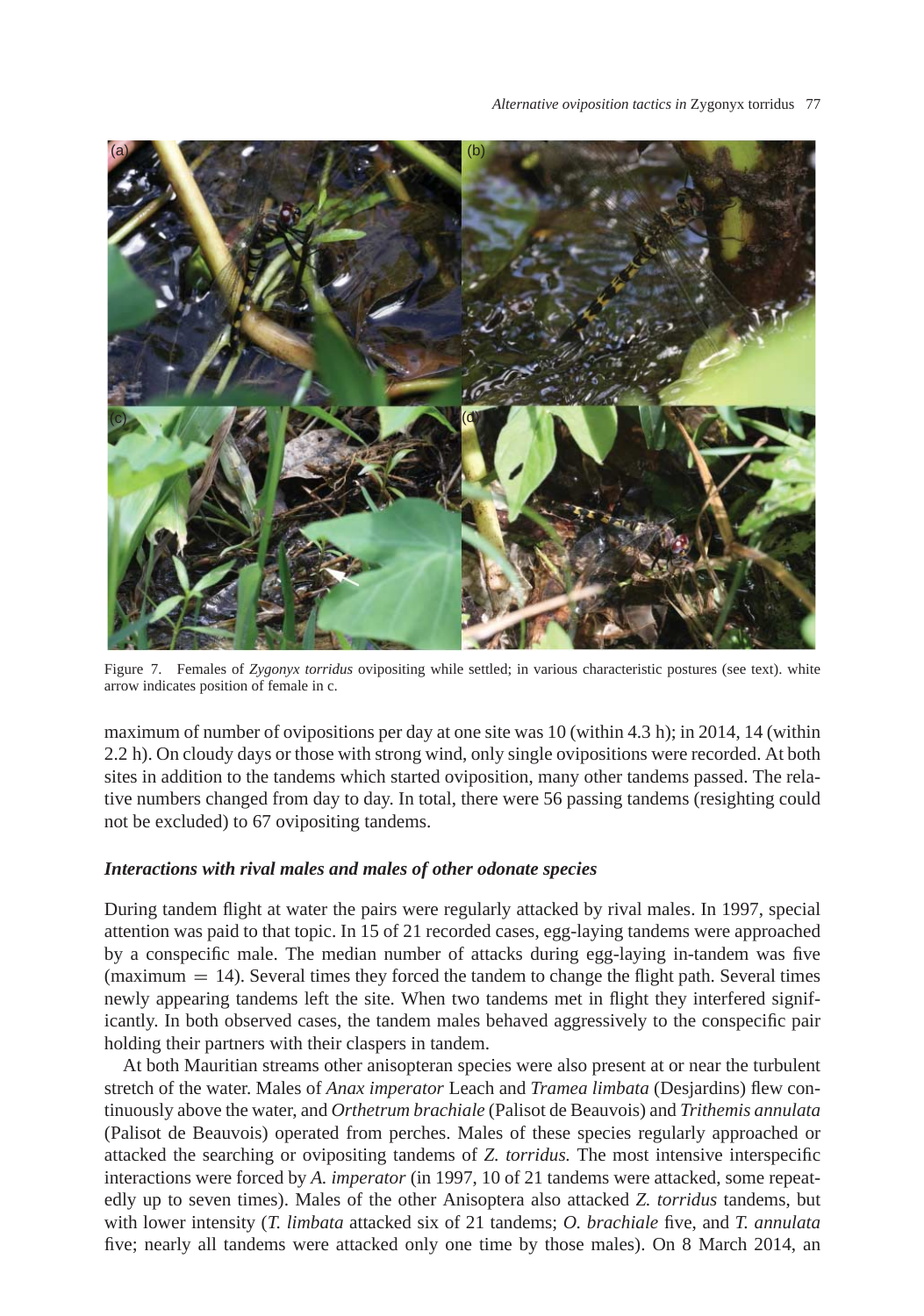

<span id="page-6-0"></span>Figure 7. Females of *Zygonyx torridus* ovipositing while settled; in various characteristic postures (see text). white arrow indicates position of female in c.

maximum of number of ovipositions per day at one site was 10 (within 4.3 h); in 2014, 14 (within 2.2 h). On cloudy days or those with strong wind, only single ovipositions were recorded. At both sites in addition to the tandems which started oviposition, many other tandems passed. The relative numbers changed from day to day. In total, there were 56 passing tandems (resighting could not be excluded) to 67 ovipositing tandems.

# *Interactions with rival males and males of other odonate species*

During tandem flight at water the pairs were regularly attacked by rival males. In 1997, special attention was paid to that topic. In 15 of 21 recorded cases, egg-laying tandems were approached by a conspecific male. The median number of attacks during egg-laying in-tandem was five  ${\rm (maximum = 14)}$ . Several times they forced the tandem to change the flight path. Several times newly appearing tandems left the site. When two tandems met in flight they interfered significantly. In both observed cases, the tandem males behaved aggressively to the conspecific pair holding their partners with their claspers in tandem.

At both Mauritian streams other anisopteran species were also present at or near the turbulent stretch of the water. Males of *Anax imperator* Leach and *Tramea limbata* (Desjardins) flew continuously above the water, and *Orthetrum brachiale* (Palisot de Beauvois) and *Trithemis annulata* (Palisot de Beauvois) operated from perches. Males of these species regularly approached or attacked the searching or ovipositing tandems of *Z. torridus.* The most intensive interspecific interactions were forced by *A. imperator* (in 1997, 10 of 21 tandems were attacked, some repeatedly up to seven times). Males of the other Anisoptera also attacked *Z. torridus* tandems, but with lower intensity (*T. limbata* attacked six of 21 tandems; *O. brachiale* five, and *T. annulata* five; nearly all tandems were attacked only one time by those males). On 8 March 2014, an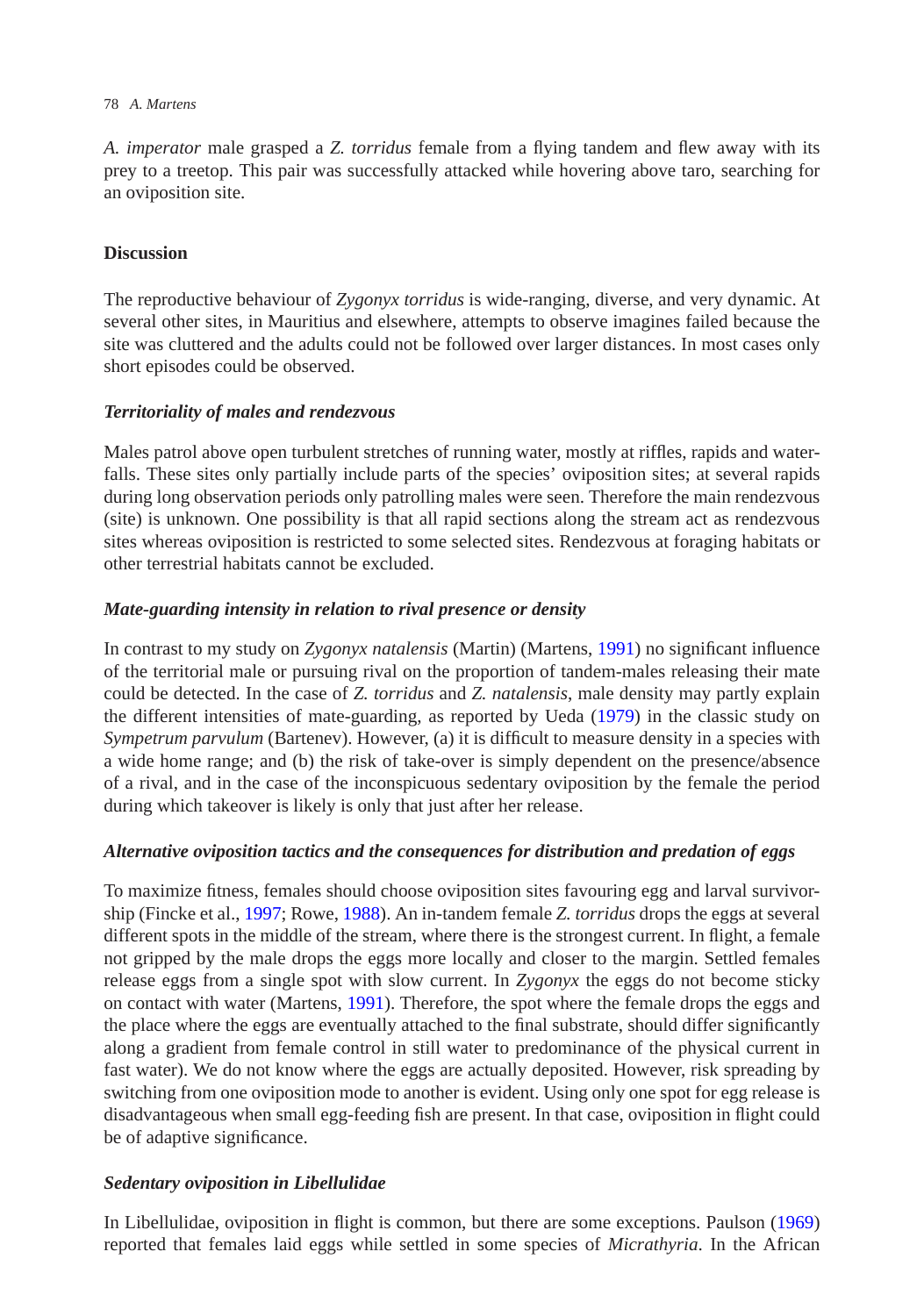#### 78 *A. Martens*

*A. imperator* male grasped a *Z. torridus* female from a flying tandem and flew away with its prey to a treetop. This pair was successfully attacked while hovering above taro, searching for an oviposition site.

# **Discussion**

The reproductive behaviour of *Zygonyx torridus* is wide-ranging, diverse, and very dynamic. At several other sites, in Mauritius and elsewhere, attempts to observe imagines failed because the site was cluttered and the adults could not be followed over larger distances. In most cases only short episodes could be observed.

# *Territoriality of males and rendezvous*

Males patrol above open turbulent stretches of running water, mostly at riffles, rapids and waterfalls. These sites only partially include parts of the species' oviposition sites; at several rapids during long observation periods only patrolling males were seen. Therefore the main rendezvous (site) is unknown. One possibility is that all rapid sections along the stream act as rendezvous sites whereas oviposition is restricted to some selected sites. Rendezvous at foraging habitats or other terrestrial habitats cannot be excluded.

# *Mate-guarding intensity in relation to rival presence or density*

In contrast to my study on *Zygonyx natalensis* (Martin) (Martens, [1991\)](#page-9-10) no significant influence of the territorial male or pursuing rival on the proportion of tandem-males releasing their mate could be detected. In the case of *Z. torridus* and *Z. natalensis*, male density may partly explain the different intensities of mate-guarding, as reported by Ueda [\(1979\)](#page-9-11) in the classic study on *Sympetrum parvulum* (Bartenev). However, (a) it is difficult to measure density in a species with a wide home range; and (b) the risk of take-over is simply dependent on the presence/absence of a rival, and in the case of the inconspicuous sedentary oviposition by the female the period during which takeover is likely is only that just after her release.

# *Alternative oviposition tactics and the consequences for distribution and predation of eggs*

To maximize fitness, females should choose oviposition sites favouring egg and larval survivorship (Fincke et al., [1997;](#page-8-3) Rowe, [1988\)](#page-9-1). An in-tandem female *Z. torridus* drops the eggs at several different spots in the middle of the stream, where there is the strongest current. In flight, a female not gripped by the male drops the eggs more locally and closer to the margin. Settled females release eggs from a single spot with slow current. In *Zygonyx* the eggs do not become sticky on contact with water (Martens, [1991\)](#page-9-10). Therefore, the spot where the female drops the eggs and the place where the eggs are eventually attached to the final substrate, should differ significantly along a gradient from female control in still water to predominance of the physical current in fast water). We do not know where the eggs are actually deposited. However, risk spreading by switching from one oviposition mode to another is evident. Using only one spot for egg release is disadvantageous when small egg-feeding fish are present. In that case, oviposition in flight could be of adaptive significance.

# *Sedentary oviposition in Libellulidae*

In Libellulidae, oviposition in flight is common, but there are some exceptions. Paulson [\(1969\)](#page-9-0) reported that females laid eggs while settled in some species of *Micrathyria*. In the African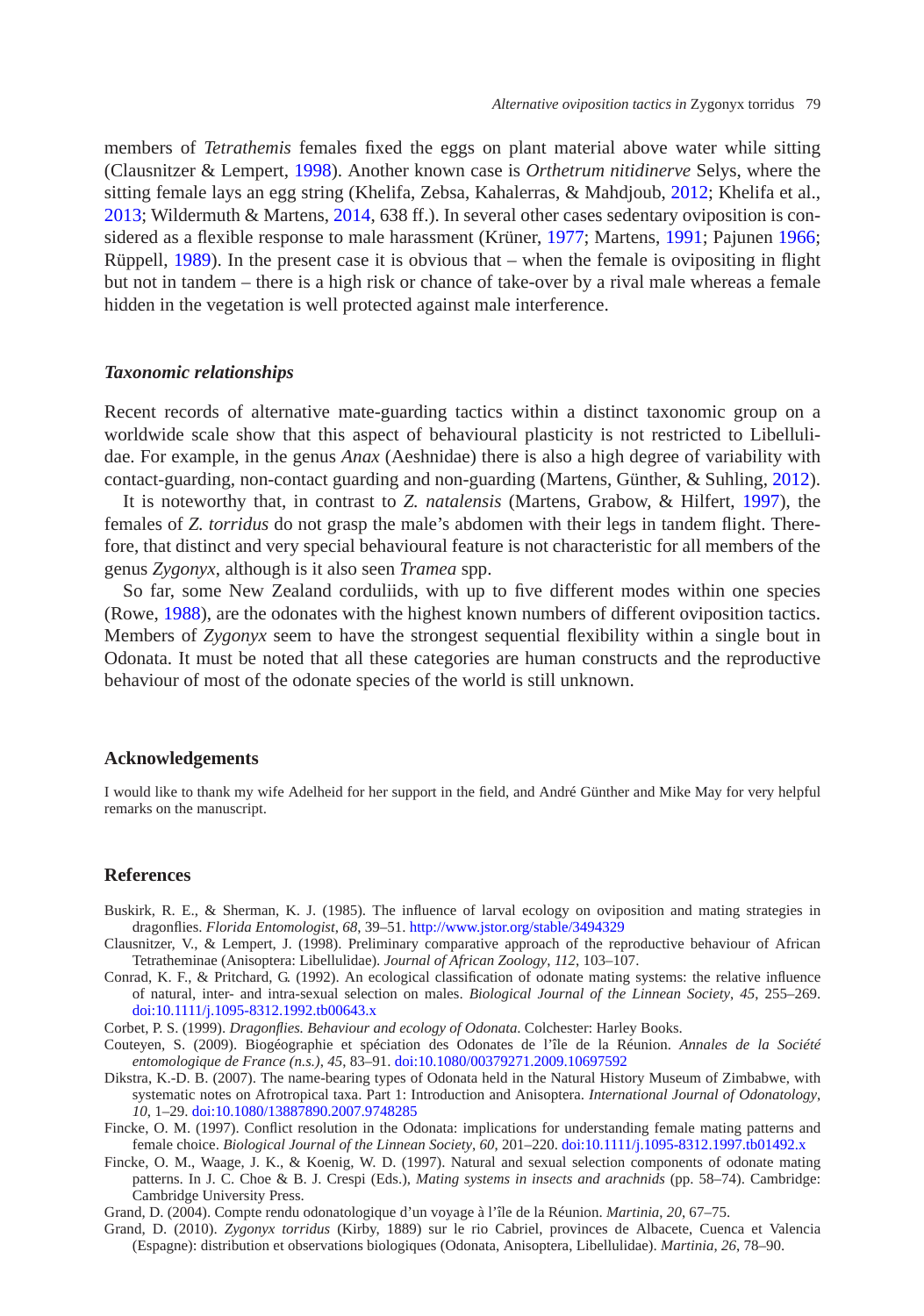members of *Tetrathemis* females fixed the eggs on plant material above water while sitting (Clausnitzer & Lempert, [1998\)](#page-8-9). Another known case is *Orthetrum nitidinerve* Selys, where the sitting female lays an egg string (Khelifa, Zebsa, Kahalerras, & Mahdjoub, [2012;](#page-9-12) Khelifa et al., [2013;](#page-9-13) Wildermuth & Martens, [2014,](#page-9-5) 638 ff.). In several other cases sedentary oviposition is considered as a flexible response to male harassment (Krüner, [1977;](#page-9-14) Martens, [1991;](#page-9-10) Pajunen [1966;](#page-9-15) Rüppell, [1989\)](#page-9-16). In the present case it is obvious that – when the female is ovipositing in flight but not in tandem – there is a high risk or chance of take-over by a rival male whereas a female hidden in the vegetation is well protected against male interference.

#### *Taxonomic relationships*

Recent records of alternative mate-guarding tactics within a distinct taxonomic group on a worldwide scale show that this aspect of behavioural plasticity is not restricted to Libellulidae. For example, in the genus *Anax* (Aeshnidae) there is also a high degree of variability with contact-guarding, non-contact guarding and non-guarding (Martens, Günther, & Suhling, [2012\)](#page-9-17).

It is noteworthy that, in contrast to *Z. natalensis* (Martens, Grabow, & Hilfert, [1997\)](#page-9-18), the females of *Z. torridus* do not grasp the male's abdomen with their legs in tandem flight. Therefore, that distinct and very special behavioural feature is not characteristic for all members of the genus *Zygonyx*, although is it also seen *Tramea* spp.

So far, some New Zealand corduliids, with up to five different modes within one species (Rowe, [1988\)](#page-9-1), are the odonates with the highest known numbers of different oviposition tactics. Members of *Zygonyx* seem to have the strongest sequential flexibility within a single bout in Odonata. It must be noted that all these categories are human constructs and the reproductive behaviour of most of the odonate species of the world is still unknown.

#### **Acknowledgements**

I would like to thank my wife Adelheid for her support in the field, and André Günther and Mike May for very helpful remarks on the manuscript.

#### **References**

- <span id="page-8-0"></span>Buskirk, R. E., & Sherman, K. J. (1985). The influence of larval ecology on oviposition and mating strategies in dragonflies. *Florida Entomologist*, *68*, 39–51. <http://www.jstor.org/stable/3494329>
- <span id="page-8-9"></span>Clausnitzer, V., & Lempert, J. (1998). Preliminary comparative approach of the reproductive behaviour of African Tetratheminae (Anisoptera: Libellulidae). *Journal of African Zoology*, *112*, 103–107.
- <span id="page-8-1"></span>Conrad, K. F., & Pritchard, G. (1992). An ecological classification of odonate mating systems: the relative influence of natural, inter- and intra-sexual selection on males. *Biological Journal of the Linnean Society*, *45*, 255–269. [doi:10.1111/j.1095-8312.1992.tb00643.x](http://dx.doi.org/10.1111/j.1095-8312.1992.tb00643.x)
- Corbet, P. S. (1999). *Dragonflies. Behaviour and ecology of Odonata*. Colchester: Harley Books.
- <span id="page-8-8"></span><span id="page-8-2"></span>Couteyen, S. (2009). Biogéographie et spéciation des Odonates de l'île de la Réunion. *Annales de la Société entomologique de France (n.s.)*, *45*, 83–91. [doi:10.1080/00379271.2009.10697592](http://dx.doi.org/10.1080/00379271.2009.10697592)
- <span id="page-8-7"></span>Dikstra, K.-D. B. (2007). The name-bearing types of Odonata held in the Natural History Museum of Zimbabwe, with systematic notes on Afrotropical taxa. Part 1: Introduction and Anisoptera. *International Journal of Odonatology*, *10*, 1–29. [doi:10.1080/13887890.2007.9748285](http://dx.doi.org/10.1080/13887890.2007.9748285)
- Fincke, O. M. (1997). Conflict resolution in the Odonata: implications for understanding female mating patterns and female choice. *Biological Journal of the Linnean Society*, *60*, 201–220. [doi:10.1111/j.1095-8312.1997.tb01492.x](http://dx.doi.org/10.1111/j.1095-8312.1997.tb01492.x)
- <span id="page-8-4"></span><span id="page-8-3"></span>Fincke, O. M., Waage, J. K., & Koenig, W. D. (1997). Natural and sexual selection components of odonate mating patterns. In J. C. Choe & B. J. Crespi (Eds.), *Mating systems in insects and arachnids* (pp. 58–74). Cambridge: Cambridge University Press.
- Grand, D. (2004). Compte rendu odonatologique d'un voyage à l'île de la Réunion. *Martinia*, *20*, 67–75.
- <span id="page-8-6"></span><span id="page-8-5"></span>Grand, D. (2010). *Zygonyx torridus* (Kirby, 1889) sur le rio Cabriel, provinces de Albacete, Cuenca et Valencia (Espagne): distribution et observations biologiques (Odonata, Anisoptera, Libellulidae). *Martinia*, *26*, 78–90.